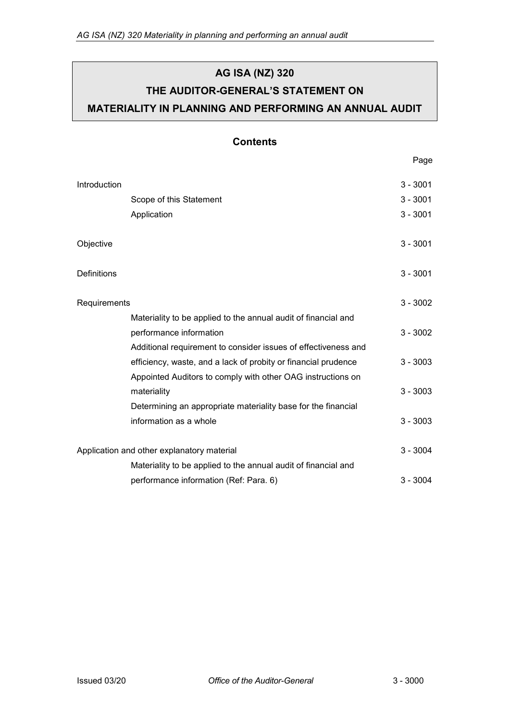# **AG ISA (NZ) 320 THE AUDITOR-GENERAL'S STATEMENT ON MATERIALITY IN PLANNING AND PERFORMING AN ANNUAL AUDIT**

### **Contents**

Page

| Introduction                               |                                                                | $3 - 3001$ |
|--------------------------------------------|----------------------------------------------------------------|------------|
|                                            | Scope of this Statement                                        | $3 - 3001$ |
|                                            | Application                                                    | $3 - 3001$ |
|                                            |                                                                |            |
| Objective                                  |                                                                | $3 - 3001$ |
|                                            |                                                                |            |
| Definitions                                |                                                                | $3 - 3001$ |
|                                            |                                                                |            |
| Requirements                               |                                                                | $3 - 3002$ |
|                                            | Materiality to be applied to the annual audit of financial and |            |
|                                            | performance information                                        | $3 - 3002$ |
|                                            | Additional requirement to consider issues of effectiveness and |            |
|                                            | efficiency, waste, and a lack of probity or financial prudence | $3 - 3003$ |
|                                            | Appointed Auditors to comply with other OAG instructions on    |            |
|                                            | materiality                                                    | $3 - 3003$ |
|                                            | Determining an appropriate materiality base for the financial  |            |
|                                            | information as a whole                                         | $3 - 3003$ |
|                                            |                                                                |            |
| Application and other explanatory material |                                                                | $3 - 3004$ |
|                                            | Materiality to be applied to the annual audit of financial and |            |
|                                            | performance information (Ref: Para. 6)                         | $3 - 3004$ |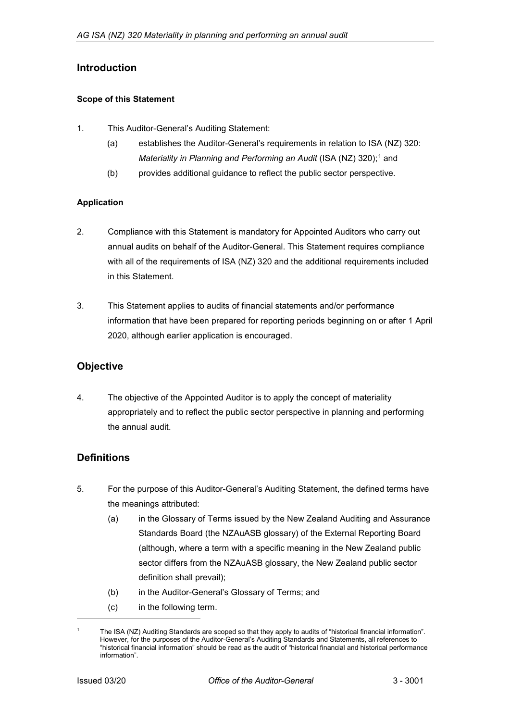### <span id="page-1-0"></span>**Introduction**

#### <span id="page-1-1"></span>**Scope of this Statement**

- 1. This Auditor-General's Auditing Statement:
	- (a) establishes the Auditor-General's requirements in relation to ISA (NZ) 320: *Materiality in Planning and Performing an Audit* (ISA (NZ) 320);<sup>[1](#page-1-5)</sup> and
	- (b) provides additional guidance to reflect the public sector perspective.

#### <span id="page-1-2"></span>**Application**

- 2. Compliance with this Statement is mandatory for Appointed Auditors who carry out annual audits on behalf of the Auditor-General. This Statement requires compliance with all of the requirements of ISA (NZ) 320 and the additional requirements included in this Statement.
- 3. This Statement applies to audits of financial statements and/or performance information that have been prepared for reporting periods beginning on or after 1 April 2020, although earlier application is encouraged.

### <span id="page-1-3"></span>**Objective**

4. The objective of the Appointed Auditor is to apply the concept of materiality appropriately and to reflect the public sector perspective in planning and performing the annual audit.

### <span id="page-1-4"></span>**Definitions**

- 5. For the purpose of this Auditor-General's Auditing Statement, the defined terms have the meanings attributed:
	- (a) in the Glossary of Terms issued by the New Zealand Auditing and Assurance Standards Board (the NZAuASB glossary) of the External Reporting Board (although, where a term with a specific meaning in the New Zealand public sector differs from the NZAuASB glossary, the New Zealand public sector definition shall prevail);
	- (b) in the Auditor-General's Glossary of Terms; and
	- (c) in the following term.

-

<span id="page-1-5"></span>The ISA (NZ) Auditing Standards are scoped so that they apply to audits of "historical financial information". However, for the purposes of the Auditor-General's Auditing Standards and Statements, all references to "historical financial information" should be read as the audit of "historical financial and historical performance information".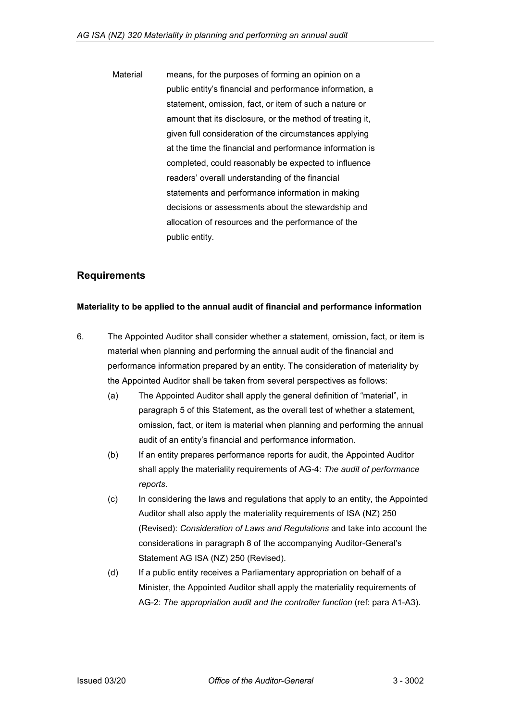Material means, for the purposes of forming an opinion on a public entity's financial and performance information, a statement, omission, fact, or item of such a nature or amount that its disclosure, or the method of treating it, given full consideration of the circumstances applying at the time the financial and performance information is completed, could reasonably be expected to influence readers' overall understanding of the financial statements and performance information in making decisions or assessments about the stewardship and allocation of resources and the performance of the public entity.

### <span id="page-2-0"></span>**Requirements**

#### <span id="page-2-1"></span>**Materiality to be applied to the annual audit of financial and performance information**

- 6. The Appointed Auditor shall consider whether a statement, omission, fact, or item is material when planning and performing the annual audit of the financial and performance information prepared by an entity. The consideration of materiality by the Appointed Auditor shall be taken from several perspectives as follows:
	- (a) The Appointed Auditor shall apply the general definition of "material", in paragraph 5 of this Statement, as the overall test of whether a statement, omission, fact, or item is material when planning and performing the annual audit of an entity's financial and performance information.
	- (b) If an entity prepares performance reports for audit, the Appointed Auditor shall apply the materiality requirements of AG-4: *The audit of performance reports*.
	- (c) In considering the laws and regulations that apply to an entity, the Appointed Auditor shall also apply the materiality requirements of ISA (NZ) 250 (Revised): *Consideration of Laws and Regulations* and take into account the considerations in paragraph 8 of the accompanying Auditor-General's Statement AG ISA (NZ) 250 (Revised).
	- (d) If a public entity receives a Parliamentary appropriation on behalf of a Minister, the Appointed Auditor shall apply the materiality requirements of AG-2: *The appropriation audit and the controller function* (ref: para A1-A3).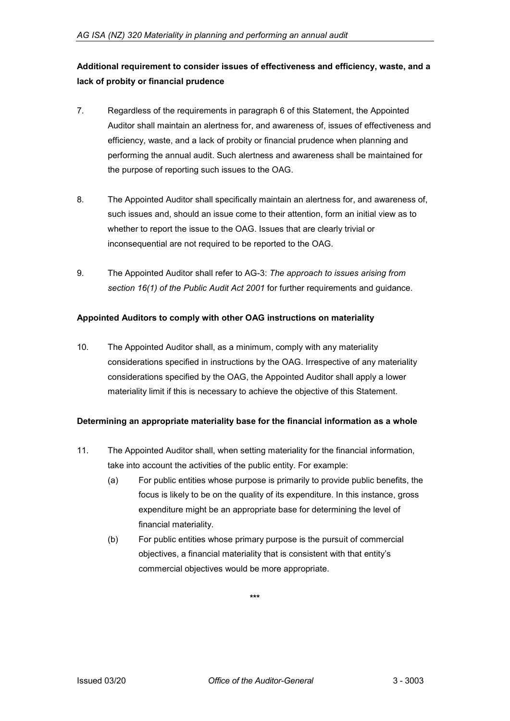# <span id="page-3-0"></span>**Additional requirement to consider issues of effectiveness and efficiency, waste, and a lack of probity or financial prudence**

- 7. Regardless of the requirements in paragraph 6 of this Statement, the Appointed Auditor shall maintain an alertness for, and awareness of, issues of effectiveness and efficiency, waste, and a lack of probity or financial prudence when planning and performing the annual audit. Such alertness and awareness shall be maintained for the purpose of reporting such issues to the OAG.
- 8. The Appointed Auditor shall specifically maintain an alertness for, and awareness of, such issues and, should an issue come to their attention, form an initial view as to whether to report the issue to the OAG. Issues that are clearly trivial or inconsequential are not required to be reported to the OAG.
- 9. The Appointed Auditor shall refer to AG-3: *The approach to issues arising from section 16(1) of the Public Audit Act 2001* for further requirements and guidance.

#### <span id="page-3-1"></span>**Appointed Auditors to comply with other OAG instructions on materiality**

10. The Appointed Auditor shall, as a minimum, comply with any materiality considerations specified in instructions by the OAG. Irrespective of any materiality considerations specified by the OAG, the Appointed Auditor shall apply a lower materiality limit if this is necessary to achieve the objective of this Statement.

#### <span id="page-3-2"></span>**Determining an appropriate materiality base for the financial information as a whole**

- 11. The Appointed Auditor shall, when setting materiality for the financial information, take into account the activities of the public entity. For example:
	- (a) For public entities whose purpose is primarily to provide public benefits, the focus is likely to be on the quality of its expenditure. In this instance, gross expenditure might be an appropriate base for determining the level of financial materiality.
	- (b) For public entities whose primary purpose is the pursuit of commercial objectives, a financial materiality that is consistent with that entity's commercial objectives would be more appropriate.

**\*\*\***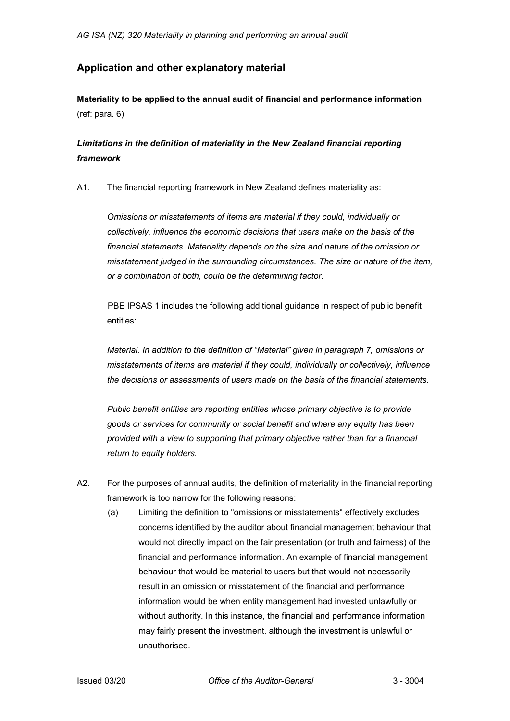# <span id="page-4-0"></span>**Application and other explanatory material**

<span id="page-4-1"></span>**Materiality to be applied to the annual audit of financial and performance information** (ref: para. 6)

# *Limitations in the definition of materiality in the New Zealand financial reporting framework*

A1. The financial reporting framework in New Zealand defines materiality as:

*Omissions or misstatements of items are material if they could, individually or collectively, influence the economic decisions that users make on the basis of the financial statements. Materiality depends on the size and nature of the omission or misstatement judged in the surrounding circumstances. The size or nature of the item, or a combination of both, could be the determining factor.*

PBE IPSAS 1 includes the following additional guidance in respect of public benefit entities:

*Material. In addition to the definition of "Material" given in paragraph 7, omissions or misstatements of items are material if they could, individually or collectively, influence the decisions or assessments of users made on the basis of the financial statements.*

*Public benefit entities are reporting entities whose primary objective is to provide goods or services for community or social benefit and where any equity has been provided with a view to supporting that primary objective rather than for a financial return to equity holders.*

- A2. For the purposes of annual audits, the definition of materiality in the financial reporting framework is too narrow for the following reasons:
	- (a) Limiting the definition to "omissions or misstatements" effectively excludes concerns identified by the auditor about financial management behaviour that would not directly impact on the fair presentation (or truth and fairness) of the financial and performance information. An example of financial management behaviour that would be material to users but that would not necessarily result in an omission or misstatement of the financial and performance information would be when entity management had invested unlawfully or without authority. In this instance, the financial and performance information may fairly present the investment, although the investment is unlawful or unauthorised.